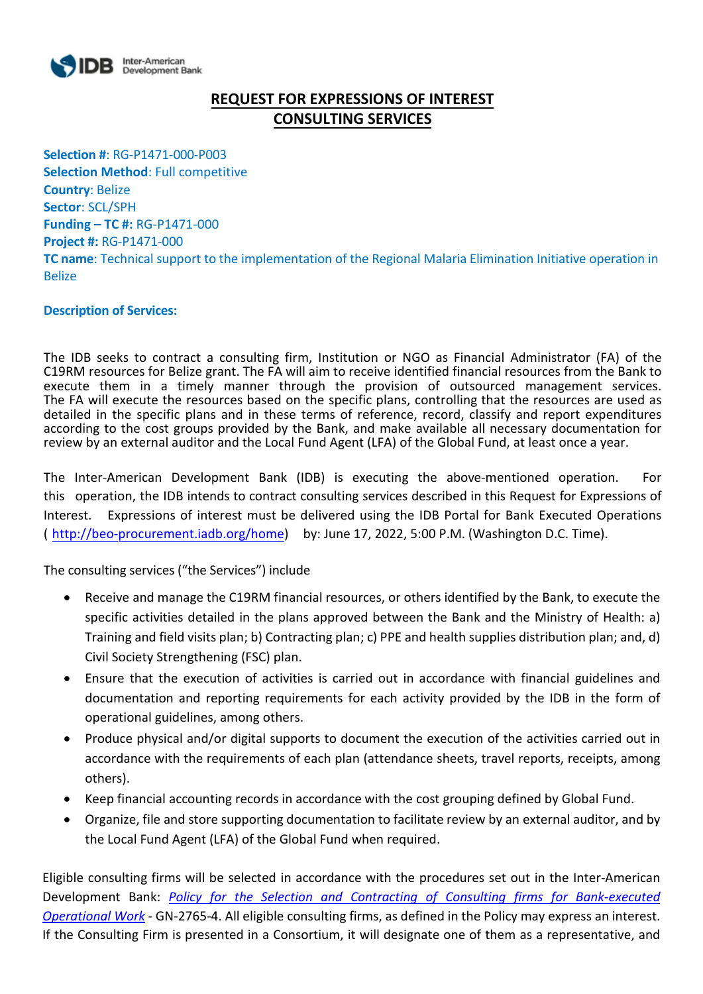

# **REQUEST FOR EXPRESSIONS OF INTEREST CONSULTING SERVICES**

**Selection #**: RG-P1471-000-P003 **Selection Method**: Full competitive **Country**: Belize **Sector**: SCL/SPH **Funding – TC #:** RG-P1471-000 **Project #:** RG-P1471-000 **TC name**: Technical support to the implementation of the Regional Malaria Elimination Initiative operation in Belize

## **Description of Services:**

The IDB seeks to contract a consulting firm, Institution or NGO as Financial Administrator (FA) of the C19RM resources for Belize grant. The FA will aim to receive identified financial resources from the Bank to execute them in a timely manner through the provision of outsourced management services. The FA will execute the resources based on the specific plans, controlling that the resources are used as detailed in the specific plans and in these terms of reference, record, classify and report expenditures according to the cost groups provided by the Bank, and make available all necessary documentation for review by an external auditor and the Local Fund Agent (LFA) of the Global Fund, at least once a year.

The Inter-American Development Bank (IDB) is executing the above-mentioned operation. For this operation, the IDB intends to contract consulting services described in this Request for E[xpressions of](http://beo-procurement.iadb.org/home)  Interest. Expressions of interest must be delivered using the IDB Portal for Bank Executed Operations ( [http://beo-procurement.iad](http://beo-procurement.iadb.org/home)b.org/home) by: June 17, 2022, 5:00 P.M. (Washington D.C. Time).

The consulting services ("the Services") include

- Receive and manage the C19RM financial resources, or others identified by the Bank, to execute the specific activities detailed in the plans approved between the Bank and the Ministry of Health: a) Training and field visits plan; b) Contracting plan; c) PPE and health supplies distribution plan; and, d) Civil Society Strengthening (FSC) plan.
- Ensure that the execution of activities is carried out in accordance with financial guidelines and documentation and reporting requirements for each activity provided by the IDB in the form of operational guidelines, among others.
- Produce physical and/or digital supports to document the execution of the activities carried out in accordance with the requirements of each plan (attendance sheets, travel reports, receipts, among others).
- Keep financial accounting records in accordance with the cost grouping defined by Global Fund.
- Organize, file and store supporting documentation to facilitate review by an external auditor, and by the Local Fund Agent (LFA) of the Global Fund when required.

Eligible consulting firms will be selected in accordance with the procedures set out in the Inter-American Development Bank: *[Policy for the Selection and Contracting of Consulting firms for Bank-executed](http://idbdocs.iadb.org/wsdocs/getdocument.aspx?DOCNUM=38988574)  [Operational Work](http://idbdocs.iadb.org/wsdocs/getdocument.aspx?DOCNUM=38988574)* - GN-2765-4. All eligible consulting firms, as defined in the Policy may express an interest. If the Consulting Firm is presented in a Consortium, it will designate one of them as a representative, and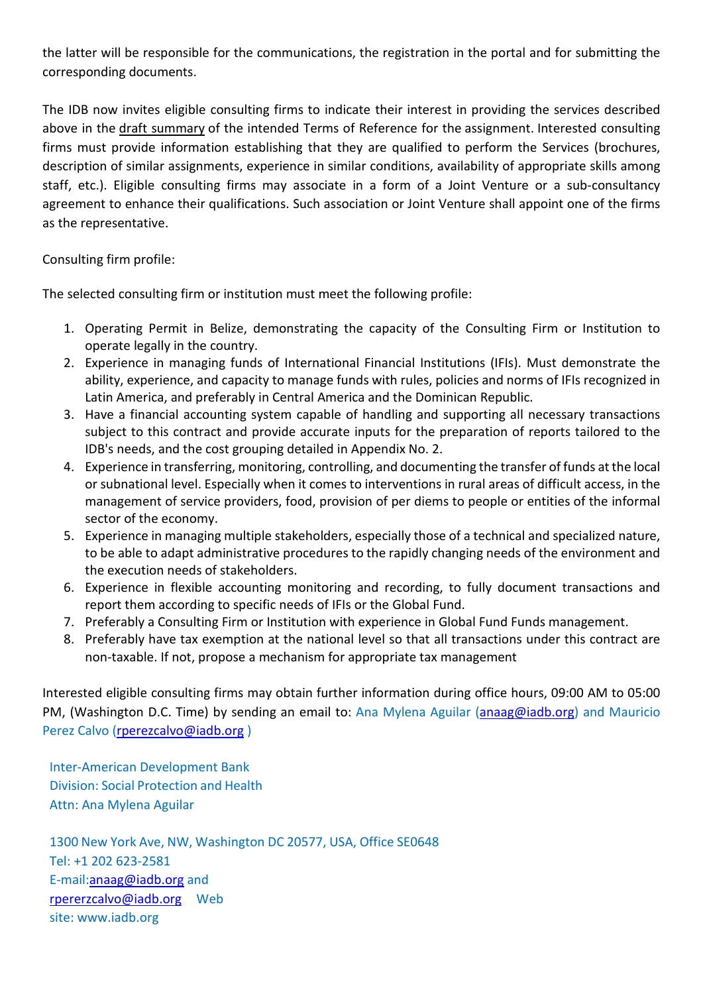the latter will be responsible for the communications, the registration in the portal and for submitting the corresponding documents.

The IDB now invites eligible consulting firms to indicate their interest in providing the services described above in the draft summary of the intended Terms of Reference for the assignment. Interested consulting firms must provide information establishing that they are qualified to perform the Services (brochures, description of similar assignments, experience in similar conditions, availability of appropriate skills among staff, etc.). Eligible consulting firms may associate in a form of a Joint Venture or a sub-consultancy agreement to enhance their qualifications. Such association or Joint Venture shall appoint one of the firms as the representative.

Consulting firm profile:

The selected consulting firm or institution must meet the following profile:

- 1. Operating Permit in Belize, demonstrating the capacity of the Consulting Firm or Institution to operate legally in the country.
- 2. Experience in managing funds of International Financial Institutions (IFIs). Must demonstrate the ability, experience, and capacity to manage funds with rules, policies and norms of IFIs recognized in Latin America, and preferably in Central America and the Dominican Republic.
- 3. Have a financial accounting system capable of handling and supporting all necessary transactions subject to this contract and provide accurate inputs for the preparation of reports tailored to the IDB's needs, and the cost grouping detailed in Appendix No. 2.
- 4. Experience in transferring, monitoring, controlling, and documenting the transfer of funds at the local or subnational level. Especially when it comes to interventions in rural areas of difficult access, in the management of service providers, food, provision of per diems to people or entities of the informal sector of the economy.
- 5. Experience in managing multiple stakeholders, especially those of a technical and specialized nature, to be able to adapt administrative procedures to the rapidly changing needs of the environment and the execution needs of stakeholders.
- 6. Experience in flexible accounting monitoring and recording, to fully document transactions and report them according to specific needs of IFIs or the Global Fund.
- 7. Preferably a Consulting Firm or Institution with experience in Global Fund Funds management.
- 8. Preferably have tax exemption at the national level so that all transactions under this contract are non-taxable. If not, propose a mechanism for appropriate tax management

Interested eligible consulting firms may obtain further information during office hours, 09:00 AM to 05:00 PM, (Washington D.C. Time) by sending an email to: Ana Mylena Aguilar [\(anaag@iadb.org\)](mailto:anaag@iadb.org) and Mauricio Perez Calvo [\(rperezcalvo@iadb.org](mailto:rperezcalvo@iadb.org) )

Inter-American Development Bank Division: Social Protection and Health Attn: Ana Mylena Aguilar

1300 New York Ave, NW, Washington DC 20577, USA, Office SE0648 Tel: +1 202 623-2581 E-mail[:anaag@iadb.org](mailto:anaag@iadb.org) and [rpererzcalvo@iadb.org](mailto:rpererzcalvo@iadb.org) Web site: [www.iadb.org](http://www.iadb.org/)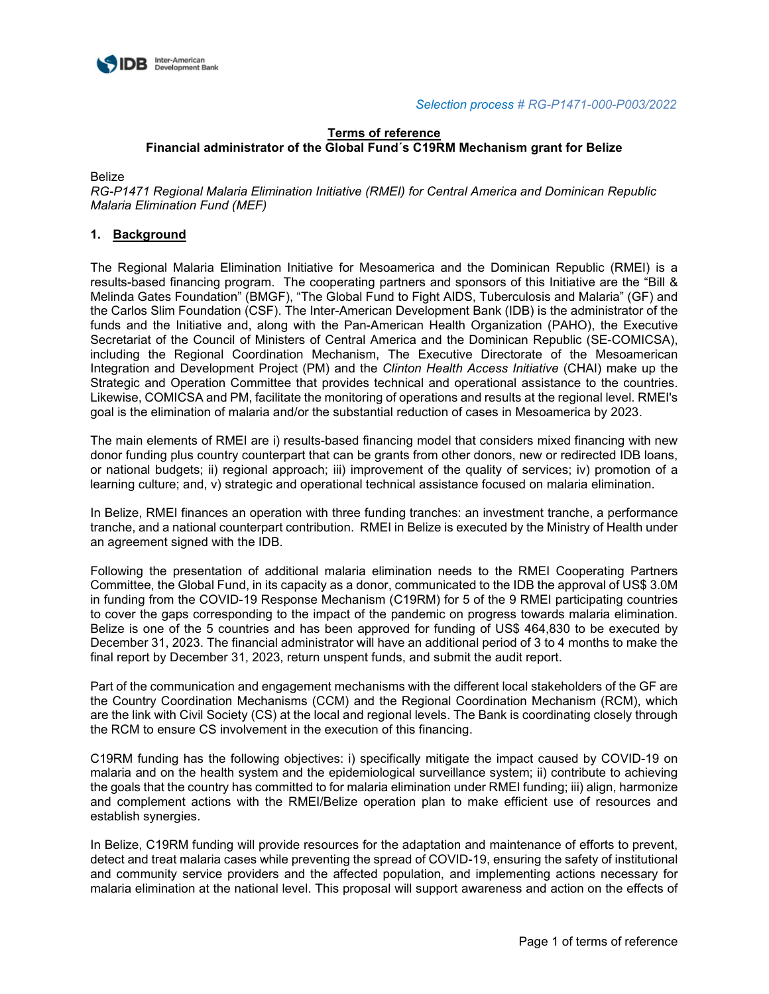

## **Terms of reference Financial administrator of the Global Fund´s C19RM Mechanism grant for Belize**

Belize

*RG-P1471 Regional Malaria Elimination Initiative (RMEI) for Central America and Dominican Republic Malaria Elimination Fund (MEF)* 

## **1. Background**

The Regional Malaria Elimination Initiative for Mesoamerica and the Dominican Republic (RMEI) is a results-based financing program. The cooperating partners and sponsors of this Initiative are the "Bill & Melinda Gates Foundation" (BMGF), "The Global Fund to Fight AIDS, Tuberculosis and Malaria" (GF) and the Carlos Slim Foundation (CSF). The Inter-American Development Bank (IDB) is the administrator of the funds and the Initiative and, along with the Pan-American Health Organization (PAHO), the Executive Secretariat of the Council of Ministers of Central America and the Dominican Republic (SE-COMICSA), including the Regional Coordination Mechanism, The Executive Directorate of the Mesoamerican Integration and Development Project (PM) and the *Clinton Health Access Initiative* (CHAI) make up the Strategic and Operation Committee that provides technical and operational assistance to the countries. Likewise, COMICSA and PM, facilitate the monitoring of operations and results at the regional level. RMEI's goal is the elimination of malaria and/or the substantial reduction of cases in Mesoamerica by 2023.

The main elements of RMEI are i) results-based financing model that considers mixed financing with new donor funding plus country counterpart that can be grants from other donors, new or redirected IDB loans, or national budgets; ii) regional approach; iii) improvement of the quality of services; iv) promotion of a learning culture; and, v) strategic and operational technical assistance focused on malaria elimination.

In Belize, RMEI finances an operation with three funding tranches: an investment tranche, a performance tranche, and a national counterpart contribution. RMEI in Belize is executed by the Ministry of Health under an agreement signed with the IDB.

Following the presentation of additional malaria elimination needs to the RMEI Cooperating Partners Committee, the Global Fund, in its capacity as a donor, communicated to the IDB the approval of US\$ 3.0M in funding from the COVID-19 Response Mechanism (C19RM) for 5 of the 9 RMEI participating countries to cover the gaps corresponding to the impact of the pandemic on progress towards malaria elimination. Belize is one of the 5 countries and has been approved for funding of US\$ 464,830 to be executed by December 31, 2023. The financial administrator will have an additional period of 3 to 4 months to make the final report by December 31, 2023, return unspent funds, and submit the audit report.

Part of the communication and engagement mechanisms with the different local stakeholders of the GF are the Country Coordination Mechanisms (CCM) and the Regional Coordination Mechanism (RCM), which are the link with Civil Society (CS) at the local and regional levels. The Bank is coordinating closely through the RCM to ensure CS involvement in the execution of this financing.

C19RM funding has the following objectives: i) specifically mitigate the impact caused by COVID-19 on malaria and on the health system and the epidemiological surveillance system; ii) contribute to achieving the goals that the country has committed to for malaria elimination under RMEI funding; iii) align, harmonize and complement actions with the RMEI/Belize operation plan to make efficient use of resources and establish synergies.

In Belize, C19RM funding will provide resources for the adaptation and maintenance of efforts to prevent, detect and treat malaria cases while preventing the spread of COVID-19, ensuring the safety of institutional and community service providers and the affected population, and implementing actions necessary for malaria elimination at the national level. This proposal will support awareness and action on the effects of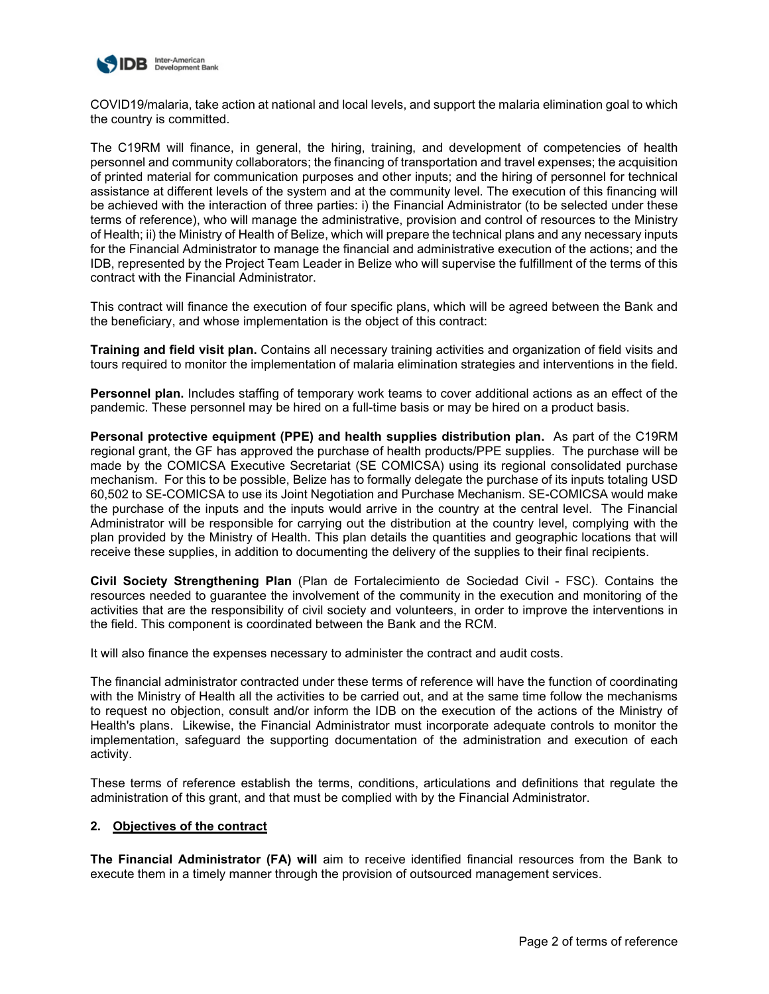

COVID19/malaria, take action at national and local levels, and support the malaria elimination goal to which the country is committed.

The C19RM will finance, in general, the hiring, training, and development of competencies of health personnel and community collaborators; the financing of transportation and travel expenses; the acquisition of printed material for communication purposes and other inputs; and the hiring of personnel for technical assistance at different levels of the system and at the community level. The execution of this financing will be achieved with the interaction of three parties: i) the Financial Administrator (to be selected under these terms of reference), who will manage the administrative, provision and control of resources to the Ministry of Health; ii) the Ministry of Health of Belize, which will prepare the technical plans and any necessary inputs for the Financial Administrator to manage the financial and administrative execution of the actions; and the IDB, represented by the Project Team Leader in Belize who will supervise the fulfillment of the terms of this contract with the Financial Administrator.

This contract will finance the execution of four specific plans, which will be agreed between the Bank and the beneficiary, and whose implementation is the object of this contract:

**Training and field visit plan.** Contains all necessary training activities and organization of field visits and tours required to monitor the implementation of malaria elimination strategies and interventions in the field.

**Personnel plan.** Includes staffing of temporary work teams to cover additional actions as an effect of the pandemic. These personnel may be hired on a full-time basis or may be hired on a product basis.

**Personal protective equipment (PPE) and health supplies distribution plan.** As part of the C19RM regional grant, the GF has approved the purchase of health products/PPE supplies. The purchase will be made by the COMICSA Executive Secretariat (SE COMICSA) using its regional consolidated purchase mechanism. For this to be possible, Belize has to formally delegate the purchase of its inputs totaling USD 60,502 to SE-COMICSA to use its Joint Negotiation and Purchase Mechanism. SE-COMICSA would make the purchase of the inputs and the inputs would arrive in the country at the central level. The Financial Administrator will be responsible for carrying out the distribution at the country level, complying with the plan provided by the Ministry of Health. This plan details the quantities and geographic locations that will receive these supplies, in addition to documenting the delivery of the supplies to their final recipients.

**Civil Society Strengthening Plan** (Plan de Fortalecimiento de Sociedad Civil - FSC). Contains the resources needed to guarantee the involvement of the community in the execution and monitoring of the activities that are the responsibility of civil society and volunteers, in order to improve the interventions in the field. This component is coordinated between the Bank and the RCM.

It will also finance the expenses necessary to administer the contract and audit costs.

The financial administrator contracted under these terms of reference will have the function of coordinating with the Ministry of Health all the activities to be carried out, and at the same time follow the mechanisms to request no objection, consult and/or inform the IDB on the execution of the actions of the Ministry of Health's plans. Likewise, the Financial Administrator must incorporate adequate controls to monitor the implementation, safeguard the supporting documentation of the administration and execution of each activity.

These terms of reference establish the terms, conditions, articulations and definitions that regulate the administration of this grant, and that must be complied with by the Financial Administrator.

#### **2. Objectives of the contract**

**The Financial Administrator (FA) will** aim to receive identified financial resources from the Bank to execute them in a timely manner through the provision of outsourced management services.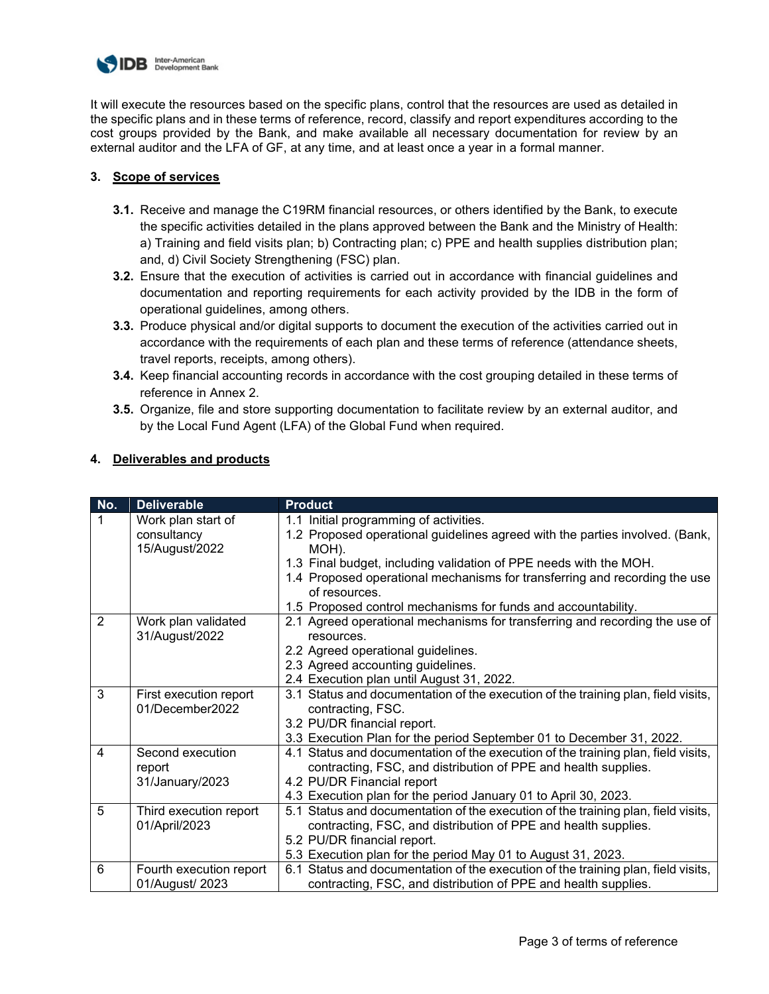

It will execute the resources based on the specific plans, control that the resources are used as detailed in the specific plans and in these terms of reference, record, classify and report expenditures according to the cost groups provided by the Bank, and make available all necessary documentation for review by an external auditor and the LFA of GF, at any time, and at least once a year in a formal manner.

## **3. Scope of services**

- **3.1.** Receive and manage the C19RM financial resources, or others identified by the Bank, to execute the specific activities detailed in the plans approved between the Bank and the Ministry of Health: a) Training and field visits plan; b) Contracting plan; c) PPE and health supplies distribution plan; and, d) Civil Society Strengthening (FSC) plan.
- **3.2.** Ensure that the execution of activities is carried out in accordance with financial guidelines and documentation and reporting requirements for each activity provided by the IDB in the form of operational guidelines, among others.
- **3.3.** Produce physical and/or digital supports to document the execution of the activities carried out in accordance with the requirements of each plan and these terms of reference (attendance sheets, travel reports, receipts, among others).
- **3.4.** Keep financial accounting records in accordance with the cost grouping detailed in these terms of reference in Annex 2.
- **3.5.** Organize, file and store supporting documentation to facilitate review by an external auditor, and by the Local Fund Agent (LFA) of the Global Fund when required.

| No.            | <b>Deliverable</b>                                  | <b>Product</b>                                                                                                                                                                                                                                                                                                                                                       |
|----------------|-----------------------------------------------------|----------------------------------------------------------------------------------------------------------------------------------------------------------------------------------------------------------------------------------------------------------------------------------------------------------------------------------------------------------------------|
|                | Work plan start of<br>consultancy<br>15/August/2022 | 1.1 Initial programming of activities.<br>1.2 Proposed operational guidelines agreed with the parties involved. (Bank,<br>MOH).<br>1.3 Final budget, including validation of PPE needs with the MOH.<br>1.4 Proposed operational mechanisms for transferring and recording the use<br>of resources.<br>1.5 Proposed control mechanisms for funds and accountability. |
| $\overline{2}$ | Work plan validated<br>31/August/2022               | 2.1 Agreed operational mechanisms for transferring and recording the use of<br>resources.<br>2.2 Agreed operational guidelines.<br>2.3 Agreed accounting guidelines.<br>2.4 Execution plan until August 31, 2022.                                                                                                                                                    |
| 3              | First execution report<br>01/December2022           | 3.1 Status and documentation of the execution of the training plan, field visits,<br>contracting, FSC.<br>3.2 PU/DR financial report.<br>3.3 Execution Plan for the period September 01 to December 31, 2022.                                                                                                                                                        |
| $\overline{4}$ | Second execution<br>report<br>31/January/2023       | 4.1 Status and documentation of the execution of the training plan, field visits,<br>contracting, FSC, and distribution of PPE and health supplies.<br>4.2 PU/DR Financial report<br>4.3 Execution plan for the period January 01 to April 30, 2023.                                                                                                                 |
| 5              | Third execution report<br>01/April/2023             | 5.1 Status and documentation of the execution of the training plan, field visits,<br>contracting, FSC, and distribution of PPE and health supplies.<br>5.2 PU/DR financial report.<br>5.3 Execution plan for the period May 01 to August 31, 2023.                                                                                                                   |
| 6              | Fourth execution report<br>01/August/ 2023          | 6.1 Status and documentation of the execution of the training plan, field visits,<br>contracting, FSC, and distribution of PPE and health supplies.                                                                                                                                                                                                                  |

## **4. Deliverables and products**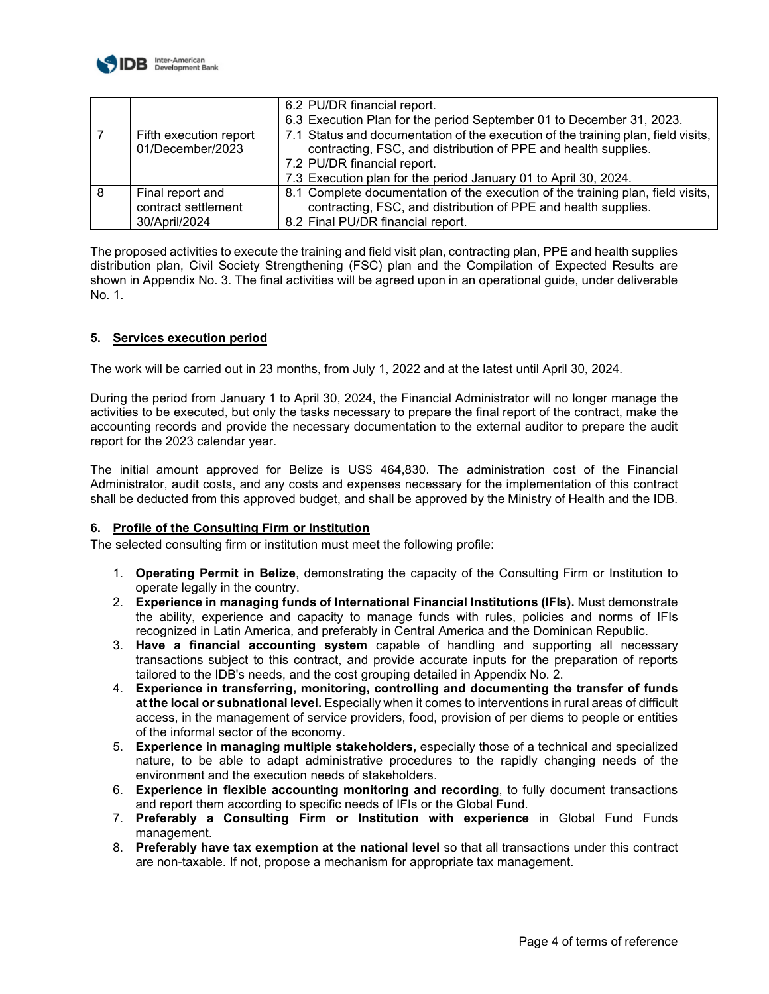

|   |                                                          | 6.2 PU/DR financial report.                                                                                                                                                                                                                           |
|---|----------------------------------------------------------|-------------------------------------------------------------------------------------------------------------------------------------------------------------------------------------------------------------------------------------------------------|
|   |                                                          | 6.3 Execution Plan for the period September 01 to December 31, 2023.                                                                                                                                                                                  |
|   | Fifth execution report<br>01/December/2023               | 7.1 Status and documentation of the execution of the training plan, field visits,<br>contracting, FSC, and distribution of PPE and health supplies.<br>7.2 PU/DR financial report.<br>7.3 Execution plan for the period January 01 to April 30, 2024. |
| 8 | Final report and<br>contract settlement<br>30/April/2024 | 8.1 Complete documentation of the execution of the training plan, field visits,<br>contracting, FSC, and distribution of PPE and health supplies.<br>8.2 Final PU/DR financial report.                                                                |

The proposed activities to execute the training and field visit plan, contracting plan, PPE and health supplies distribution plan, Civil Society Strengthening (FSC) plan and the Compilation of Expected Results are shown in Appendix No. 3. The final activities will be agreed upon in an operational guide, under deliverable No. 1.

## **5. Services execution period**

The work will be carried out in 23 months, from July 1, 2022 and at the latest until April 30, 2024.

During the period from January 1 to April 30, 2024, the Financial Administrator will no longer manage the activities to be executed, but only the tasks necessary to prepare the final report of the contract, make the accounting records and provide the necessary documentation to the external auditor to prepare the audit report for the 2023 calendar year.

The initial amount approved for Belize is US\$ 464,830. The administration cost of the Financial Administrator, audit costs, and any costs and expenses necessary for the implementation of this contract shall be deducted from this approved budget, and shall be approved by the Ministry of Health and the IDB.

#### **6. Profile of the Consulting Firm or Institution**

The selected consulting firm or institution must meet the following profile:

- 1. **Operating Permit in Belize**, demonstrating the capacity of the Consulting Firm or Institution to operate legally in the country.
- 2. **Experience in managing funds of International Financial Institutions (IFIs).** Must demonstrate the ability, experience and capacity to manage funds with rules, policies and norms of IFIs recognized in Latin America, and preferably in Central America and the Dominican Republic.
- 3. **Have a financial accounting system** capable of handling and supporting all necessary transactions subject to this contract, and provide accurate inputs for the preparation of reports tailored to the IDB's needs, and the cost grouping detailed in Appendix No. 2.
- 4. **Experience in transferring, monitoring, controlling and documenting the transfer of funds at the local or subnational level.** Especially when it comes to interventions in rural areas of difficult access, in the management of service providers, food, provision of per diems to people or entities of the informal sector of the economy.
- 5. **Experience in managing multiple stakeholders,** especially those of a technical and specialized nature, to be able to adapt administrative procedures to the rapidly changing needs of the environment and the execution needs of stakeholders.
- 6. **Experience in flexible accounting monitoring and recording**, to fully document transactions and report them according to specific needs of IFIs or the Global Fund.
- 7. **Preferably a Consulting Firm or Institution with experience** in Global Fund Funds management.
- 8. **Preferably have tax exemption at the national level** so that all transactions under this contract are non-taxable. If not, propose a mechanism for appropriate tax management.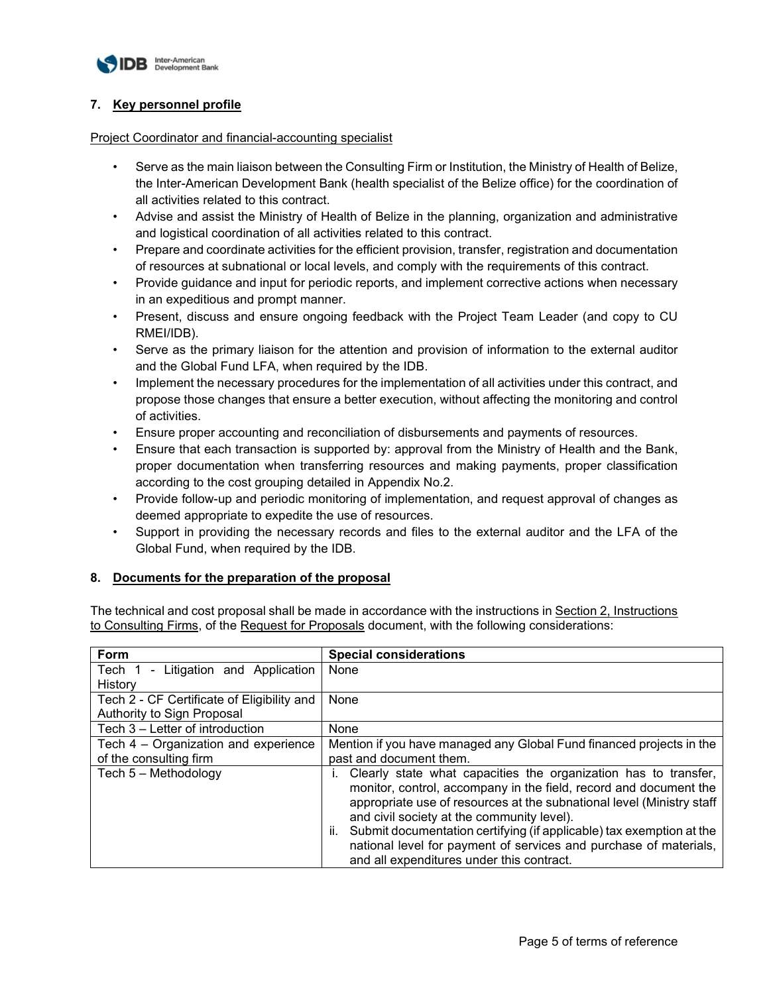

## **7. Key personnel profile**

#### Project Coordinator and financial-accounting specialist

- Serve as the main liaison between the Consulting Firm or Institution, the Ministry of Health of Belize, the Inter-American Development Bank (health specialist of the Belize office) for the coordination of all activities related to this contract.
- Advise and assist the Ministry of Health of Belize in the planning, organization and administrative and logistical coordination of all activities related to this contract.
- Prepare and coordinate activities for the efficient provision, transfer, registration and documentation of resources at subnational or local levels, and comply with the requirements of this contract.
- Provide guidance and input for periodic reports, and implement corrective actions when necessary in an expeditious and prompt manner.
- Present, discuss and ensure ongoing feedback with the Project Team Leader (and copy to CU RMEI/IDB).
- Serve as the primary liaison for the attention and provision of information to the external auditor and the Global Fund LFA, when required by the IDB.
- Implement the necessary procedures for the implementation of all activities under this contract, and propose those changes that ensure a better execution, without affecting the monitoring and control of activities.
- Ensure proper accounting and reconciliation of disbursements and payments of resources.
- Ensure that each transaction is supported by: approval from the Ministry of Health and the Bank, proper documentation when transferring resources and making payments, proper classification according to the cost grouping detailed in Appendix No.2.
- Provide follow-up and periodic monitoring of implementation, and request approval of changes as deemed appropriate to expedite the use of resources.
- Support in providing the necessary records and files to the external auditor and the LFA of the Global Fund, when required by the IDB.

## **8. Documents for the preparation of the proposal**

The technical and cost proposal shall be made in accordance with the instructions in Section 2, Instructions to Consulting Firms, of the Request for Proposals document, with the following considerations:

| Form                                       | <b>Special considerations</b>                                                                                                                                                                                                                                                                                                                                                                                                                               |
|--------------------------------------------|-------------------------------------------------------------------------------------------------------------------------------------------------------------------------------------------------------------------------------------------------------------------------------------------------------------------------------------------------------------------------------------------------------------------------------------------------------------|
| Tech 1<br>- Litigation and Application     | None                                                                                                                                                                                                                                                                                                                                                                                                                                                        |
| History                                    |                                                                                                                                                                                                                                                                                                                                                                                                                                                             |
| Tech 2 - CF Certificate of Eligibility and | None                                                                                                                                                                                                                                                                                                                                                                                                                                                        |
| Authority to Sign Proposal                 |                                                                                                                                                                                                                                                                                                                                                                                                                                                             |
| Tech 3 – Letter of introduction            | None                                                                                                                                                                                                                                                                                                                                                                                                                                                        |
| Tech 4 – Organization and experience       | Mention if you have managed any Global Fund financed projects in the                                                                                                                                                                                                                                                                                                                                                                                        |
| of the consulting firm                     | past and document them.                                                                                                                                                                                                                                                                                                                                                                                                                                     |
| Tech 5 - Methodology                       | Clearly state what capacities the organization has to transfer,<br>monitor, control, accompany in the field, record and document the<br>appropriate use of resources at the subnational level (Ministry staff<br>and civil society at the community level).<br>Submit documentation certifying (if applicable) tax exemption at the<br>Ш.<br>national level for payment of services and purchase of materials,<br>and all expenditures under this contract. |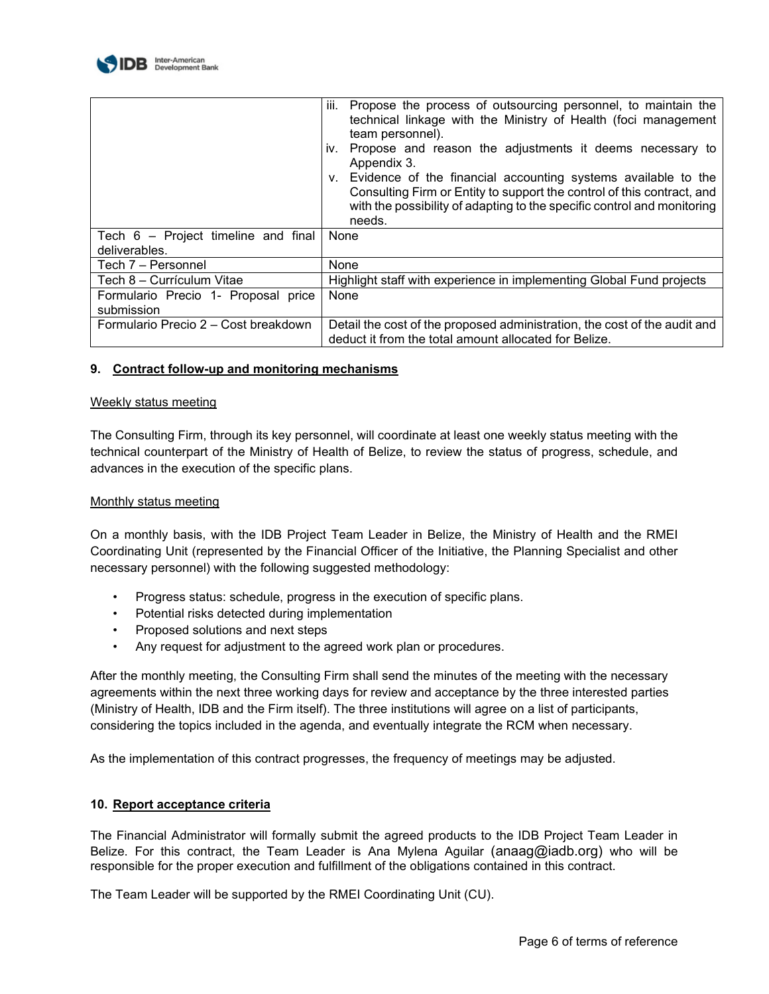

|                                                      | iii.<br>Propose the process of outsourcing personnel, to maintain the<br>technical linkage with the Ministry of Health (foci management<br>team personnel).<br>Propose and reason the adjustments it deems necessary to<br>IV.<br>Appendix 3.<br>v. Evidence of the financial accounting systems available to the<br>Consulting Firm or Entity to support the control of this contract, and<br>with the possibility of adapting to the specific control and monitoring<br>needs. |
|------------------------------------------------------|----------------------------------------------------------------------------------------------------------------------------------------------------------------------------------------------------------------------------------------------------------------------------------------------------------------------------------------------------------------------------------------------------------------------------------------------------------------------------------|
| Tech 6 - Project timeline and final<br>deliverables. | None                                                                                                                                                                                                                                                                                                                                                                                                                                                                             |
| Tech 7 - Personnel                                   | None                                                                                                                                                                                                                                                                                                                                                                                                                                                                             |
| Tech 8 - Currículum Vitae                            | Highlight staff with experience in implementing Global Fund projects                                                                                                                                                                                                                                                                                                                                                                                                             |
| Formulario Precio 1- Proposal price<br>submission    | None                                                                                                                                                                                                                                                                                                                                                                                                                                                                             |
| Formulario Precio 2 – Cost breakdown                 | Detail the cost of the proposed administration, the cost of the audit and<br>deduct it from the total amount allocated for Belize.                                                                                                                                                                                                                                                                                                                                               |

#### **9. Contract follow-up and monitoring mechanisms**

#### Weekly status meeting

The Consulting Firm, through its key personnel, will coordinate at least one weekly status meeting with the technical counterpart of the Ministry of Health of Belize, to review the status of progress, schedule, and advances in the execution of the specific plans.

#### Monthly status meeting

On a monthly basis, with the IDB Project Team Leader in Belize, the Ministry of Health and the RMEI Coordinating Unit (represented by the Financial Officer of the Initiative, the Planning Specialist and other necessary personnel) with the following suggested methodology:

- Progress status: schedule, progress in the execution of specific plans.
- Potential risks detected during implementation
- Proposed solutions and next steps
- Any request for adjustment to the agreed work plan or procedures.

After the monthly meeting, the Consulting Firm shall send the minutes of the meeting with the necessary agreements within the next three working days for review and acceptance by the three interested parties (Ministry of Health, IDB and the Firm itself). The three institutions will agree on a list of participants, considering the topics included in the agenda, and eventually integrate the RCM when necessary.

As the implementation of this contract progresses, the frequency of meetings may be adjusted.

#### **10. Report acceptance criteria**

The Financial Administrator will formally submit the agreed products to the IDB Project Team Leader in Belize. For this contract, the Team Leader is Ana Mylena Aguilar (anaag@iadb.org) who will be responsible for the proper execution and fulfillment of the obligations contained in this contract.

The Team Leader will be supported by the RMEI Coordinating Unit (CU).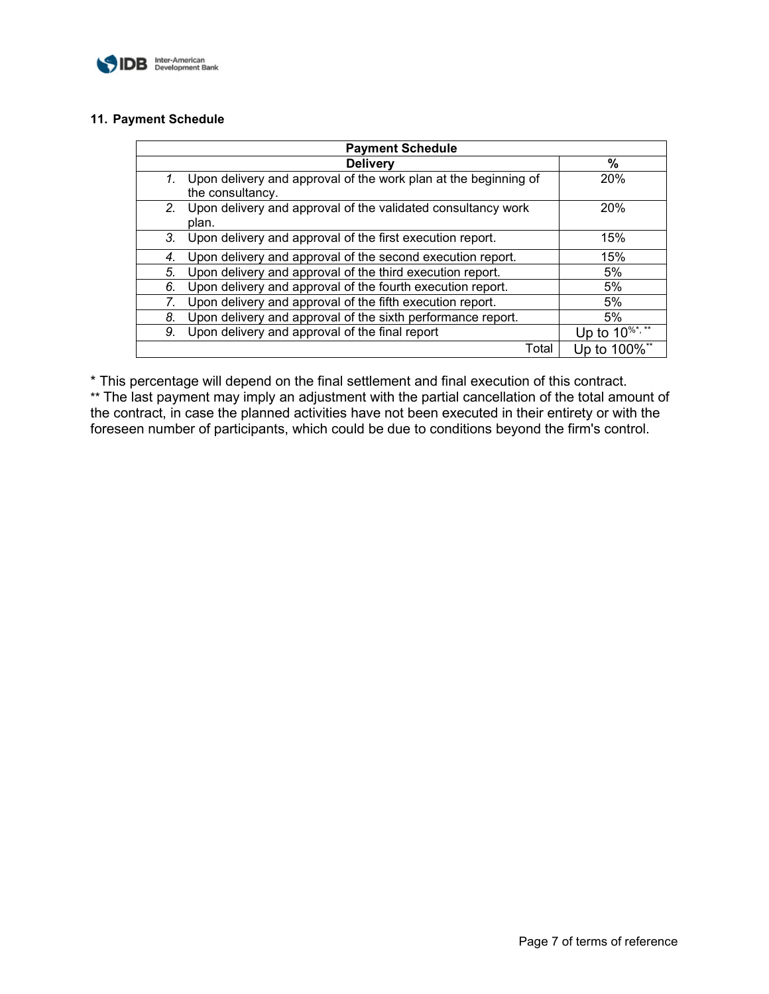

## **11. Payment Schedule**

| <b>Payment Schedule</b> |                                                                                        |                                  |
|-------------------------|----------------------------------------------------------------------------------------|----------------------------------|
|                         | <b>Delivery</b>                                                                        | %                                |
|                         | 1. Upon delivery and approval of the work plan at the beginning of<br>the consultancy. | 20%                              |
| $2^{\circ}$             | Upon delivery and approval of the validated consultancy work<br>plan.                  | 20%                              |
| 3.                      | Upon delivery and approval of the first execution report.                              | 15%                              |
| 4.                      | Upon delivery and approval of the second execution report.                             | 15%                              |
| 5.                      | Upon delivery and approval of the third execution report.                              | 5%                               |
| 6.                      | Upon delivery and approval of the fourth execution report.                             | 5%                               |
| 7.                      | Upon delivery and approval of the fifth execution report.                              | 5%                               |
| 8.                      | Upon delivery and approval of the sixth performance report.                            | 5%                               |
| 9.                      | Upon delivery and approval of the final report                                         | Up to $10^{96}$ <sup>*, **</sup> |
|                         | Total                                                                                  | Up to 100%**                     |

\* This percentage will depend on the final settlement and final execution of this contract.

\*\* The last payment may imply an adjustment with the partial cancellation of the total amount of the contract, in case the planned activities have not been executed in their entirety or with the foreseen number of participants, which could be due to conditions beyond the firm's control.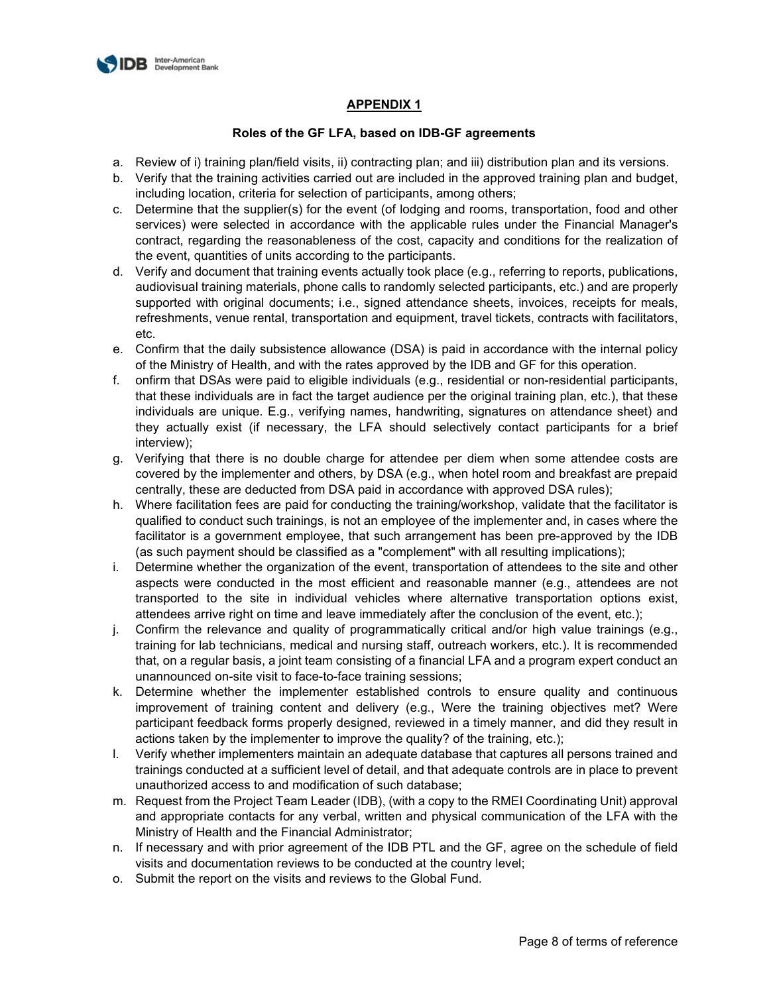

## **APPENDIX 1**

## **Roles of the GF LFA, based on IDB-GF agreements**

- a. Review of i) training plan/field visits, ii) contracting plan; and iii) distribution plan and its versions.
- b. Verify that the training activities carried out are included in the approved training plan and budget, including location, criteria for selection of participants, among others;
- c. Determine that the supplier(s) for the event (of lodging and rooms, transportation, food and other services) were selected in accordance with the applicable rules under the Financial Manager's contract, regarding the reasonableness of the cost, capacity and conditions for the realization of the event, quantities of units according to the participants.
- d. Verify and document that training events actually took place (e.g., referring to reports, publications, audiovisual training materials, phone calls to randomly selected participants, etc.) and are properly supported with original documents; i.e., signed attendance sheets, invoices, receipts for meals, refreshments, venue rental, transportation and equipment, travel tickets, contracts with facilitators, etc.
- e. Confirm that the daily subsistence allowance (DSA) is paid in accordance with the internal policy of the Ministry of Health, and with the rates approved by the IDB and GF for this operation.
- f. onfirm that DSAs were paid to eligible individuals (e.g., residential or non-residential participants, that these individuals are in fact the target audience per the original training plan, etc.), that these individuals are unique. E.g., verifying names, handwriting, signatures on attendance sheet) and they actually exist (if necessary, the LFA should selectively contact participants for a brief interview);
- g. Verifying that there is no double charge for attendee per diem when some attendee costs are covered by the implementer and others, by DSA (e.g., when hotel room and breakfast are prepaid centrally, these are deducted from DSA paid in accordance with approved DSA rules);
- h. Where facilitation fees are paid for conducting the training/workshop, validate that the facilitator is qualified to conduct such trainings, is not an employee of the implementer and, in cases where the facilitator is a government employee, that such arrangement has been pre-approved by the IDB (as such payment should be classified as a "complement" with all resulting implications);
- i. Determine whether the organization of the event, transportation of attendees to the site and other aspects were conducted in the most efficient and reasonable manner (e.g., attendees are not transported to the site in individual vehicles where alternative transportation options exist, attendees arrive right on time and leave immediately after the conclusion of the event, etc.);
- j. Confirm the relevance and quality of programmatically critical and/or high value trainings (e.g., training for lab technicians, medical and nursing staff, outreach workers, etc.). It is recommended that, on a regular basis, a joint team consisting of a financial LFA and a program expert conduct an unannounced on-site visit to face-to-face training sessions;
- k. Determine whether the implementer established controls to ensure quality and continuous improvement of training content and delivery (e.g., Were the training objectives met? Were participant feedback forms properly designed, reviewed in a timely manner, and did they result in actions taken by the implementer to improve the quality? of the training, etc.);
- l. Verify whether implementers maintain an adequate database that captures all persons trained and trainings conducted at a sufficient level of detail, and that adequate controls are in place to prevent unauthorized access to and modification of such database;
- m. Request from the Project Team Leader (IDB), (with a copy to the RMEI Coordinating Unit) approval and appropriate contacts for any verbal, written and physical communication of the LFA with the Ministry of Health and the Financial Administrator;
- n. If necessary and with prior agreement of the IDB PTL and the GF, agree on the schedule of field visits and documentation reviews to be conducted at the country level;
- o. Submit the report on the visits and reviews to the Global Fund.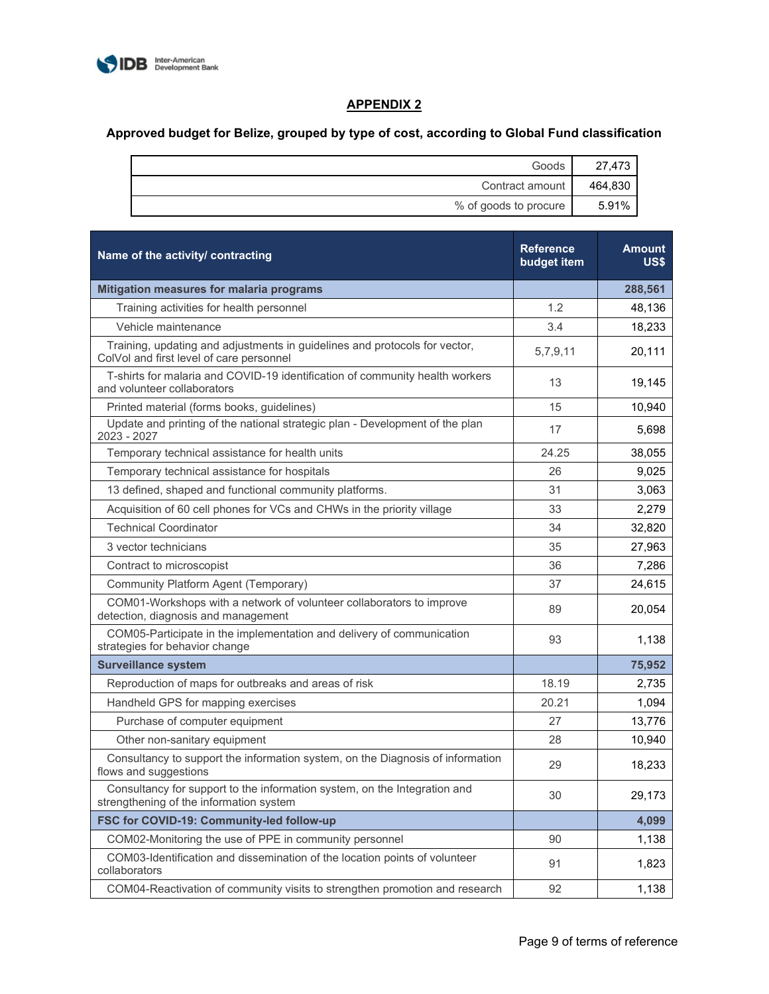

# **APPENDIX 2**

# **Approved budget for Belize, grouped by type of cost, according to Global Fund classification**

| Goods                 | 27,473  |
|-----------------------|---------|
| Contract amount       | 464,830 |
| % of goods to procure | 5.91%   |

| Name of the activity/ contracting                                                                                      | <b>Reference</b><br>budget item | <b>Amount</b><br>US\$ |
|------------------------------------------------------------------------------------------------------------------------|---------------------------------|-----------------------|
| Mitigation measures for malaria programs                                                                               |                                 | 288,561               |
| Training activities for health personnel                                                                               | 1.2                             | 48,136                |
| Vehicle maintenance                                                                                                    | 3.4                             | 18,233                |
| Training, updating and adjustments in guidelines and protocols for vector,<br>ColVol and first level of care personnel | 5,7,9,11                        | 20,111                |
| T-shirts for malaria and COVID-19 identification of community health workers<br>and volunteer collaborators            | 13                              | 19,145                |
| Printed material (forms books, guidelines)                                                                             | 15                              | 10,940                |
| Update and printing of the national strategic plan - Development of the plan<br>2023 - 2027                            | 17                              | 5,698                 |
| Temporary technical assistance for health units                                                                        | 24.25                           | 38,055                |
| Temporary technical assistance for hospitals                                                                           | 26                              | 9,025                 |
| 13 defined, shaped and functional community platforms.                                                                 | 31                              | 3,063                 |
| Acquisition of 60 cell phones for VCs and CHWs in the priority village                                                 | 33                              | 2,279                 |
| <b>Technical Coordinator</b>                                                                                           | 34                              | 32,820                |
| 3 vector technicians                                                                                                   | 35                              | 27,963                |
| Contract to microscopist                                                                                               | 36                              | 7,286                 |
| Community Platform Agent (Temporary)                                                                                   | 37                              | 24,615                |
| COM01-Workshops with a network of volunteer collaborators to improve<br>detection, diagnosis and management            | 89                              | 20,054                |
| COM05-Participate in the implementation and delivery of communication<br>strategies for behavior change                | 93                              | 1,138                 |
| <b>Surveillance system</b>                                                                                             |                                 | 75,952                |
| Reproduction of maps for outbreaks and areas of risk                                                                   | 18.19                           | 2,735                 |
| Handheld GPS for mapping exercises                                                                                     | 20.21                           | 1,094                 |
| Purchase of computer equipment                                                                                         | 27                              | 13,776                |
| Other non-sanitary equipment                                                                                           | 28                              | 10,940                |
| Consultancy to support the information system, on the Diagnosis of information<br>flows and suggestions                | 29                              | 18,233                |
| Consultancy for support to the information system, on the Integration and<br>strengthening of the information system   | 30                              | 29,173                |
| FSC for COVID-19: Community-led follow-up                                                                              |                                 | 4,099                 |
| COM02-Monitoring the use of PPE in community personnel                                                                 | 90                              | 1,138                 |
| COM03-Identification and dissemination of the location points of volunteer<br>collaborators                            | 91                              | 1,823                 |
| COM04-Reactivation of community visits to strengthen promotion and research                                            | 92                              | 1,138                 |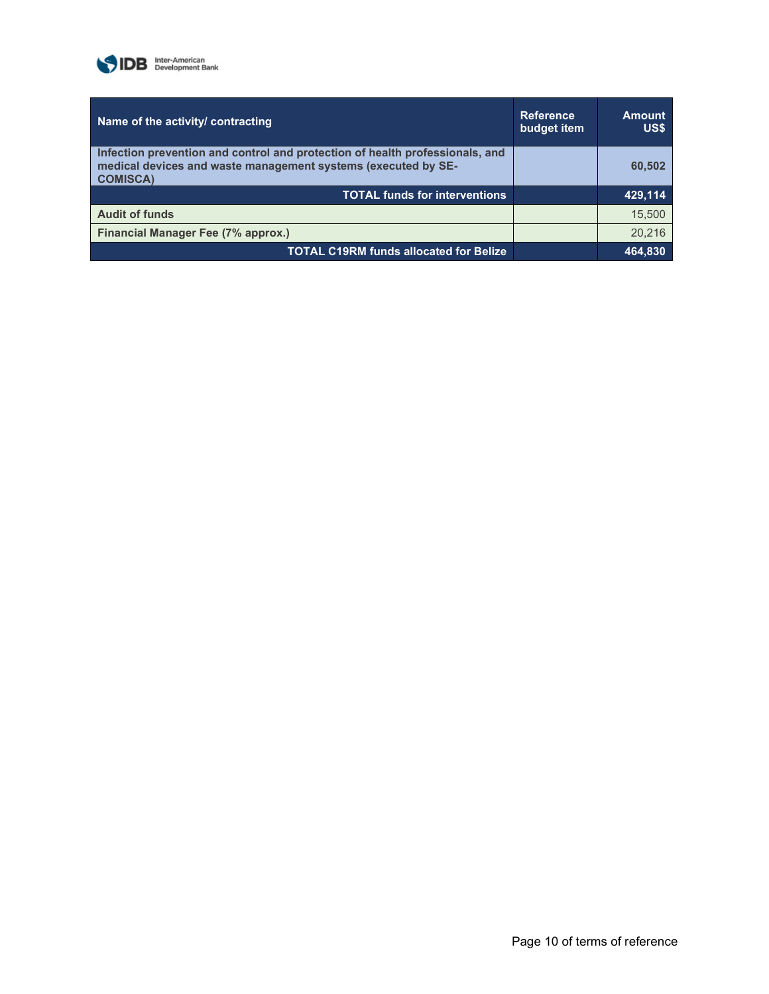

| Name of the activity/ contracting                                                                                                                                | <b>Reference</b><br>budget item | <b>Amount</b><br>US\$ |
|------------------------------------------------------------------------------------------------------------------------------------------------------------------|---------------------------------|-----------------------|
| Infection prevention and control and protection of health professionals, and<br>medical devices and waste management systems (executed by SE-<br><b>COMISCA)</b> |                                 | 60,502                |
| <b>TOTAL funds for interventions</b>                                                                                                                             |                                 | 429,114               |
| <b>Audit of funds</b>                                                                                                                                            |                                 | 15,500                |
| Financial Manager Fee (7% approx.)                                                                                                                               |                                 | 20.216                |
| <b>TOTAL C19RM funds allocated for Belize</b>                                                                                                                    |                                 | 464.830               |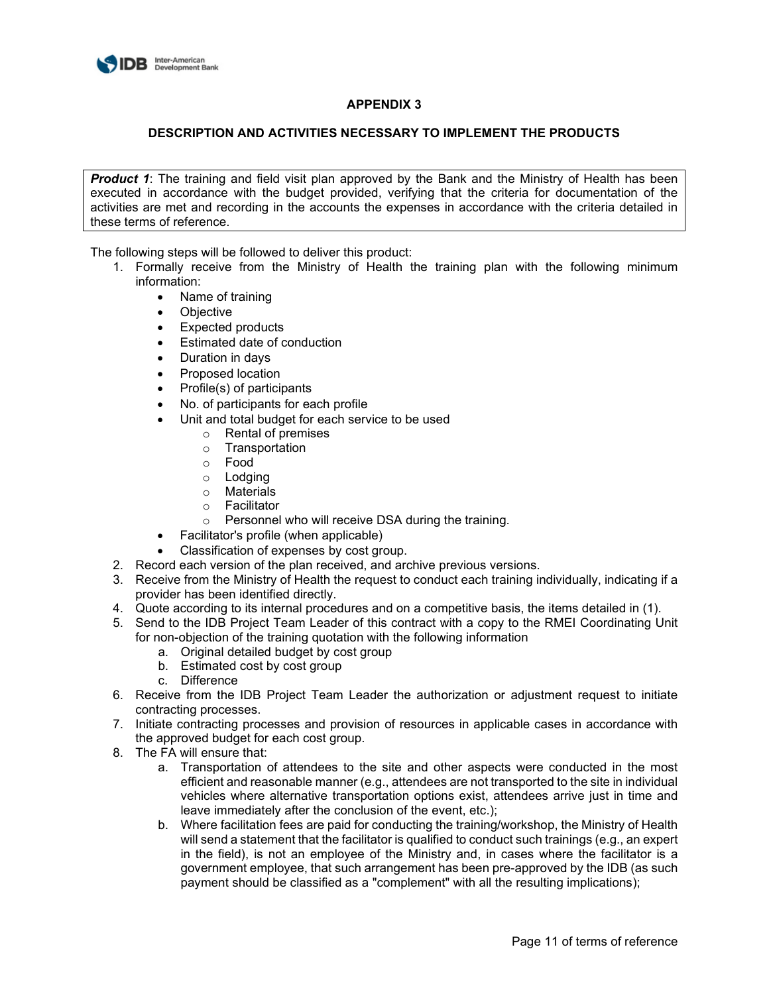

## **APPENDIX 3**

#### **DESCRIPTION AND ACTIVITIES NECESSARY TO IMPLEMENT THE PRODUCTS**

**Product 1:** The training and field visit plan approved by the Bank and the Ministry of Health has been executed in accordance with the budget provided, verifying that the criteria for documentation of the activities are met and recording in the accounts the expenses in accordance with the criteria detailed in these terms of reference.

- 1. Formally receive from the Ministry of Health the training plan with the following minimum information:
	- Name of training
	- Objective
	- Expected products
	- Estimated date of conduction
	- Duration in days
	- Proposed location
	- Profile(s) of participants
	- No. of participants for each profile
	- Unit and total budget for each service to be used
		- o Rental of premises
		- o Transportation
		- o Food
		- o Lodging
		- o Materials
		- o Facilitator
		- o Personnel who will receive DSA during the training.
	- Facilitator's profile (when applicable)
	- Classification of expenses by cost group.
- 2. Record each version of the plan received, and archive previous versions.
- 3. Receive from the Ministry of Health the request to conduct each training individually, indicating if a provider has been identified directly.
- 4. Quote according to its internal procedures and on a competitive basis, the items detailed in (1).
- 5. Send to the IDB Project Team Leader of this contract with a copy to the RMEI Coordinating Unit for non-objection of the training quotation with the following information
	- a. Original detailed budget by cost group
	- b. Estimated cost by cost group
	- c. Difference
- 6. Receive from the IDB Project Team Leader the authorization or adjustment request to initiate contracting processes.
- 7. Initiate contracting processes and provision of resources in applicable cases in accordance with the approved budget for each cost group.
- 8. The FA will ensure that:
	- a. Transportation of attendees to the site and other aspects were conducted in the most efficient and reasonable manner (e.g., attendees are not transported to the site in individual vehicles where alternative transportation options exist, attendees arrive just in time and leave immediately after the conclusion of the event, etc.);
	- b. Where facilitation fees are paid for conducting the training/workshop, the Ministry of Health will send a statement that the facilitator is qualified to conduct such trainings (e.g., an expert in the field), is not an employee of the Ministry and, in cases where the facilitator is a government employee, that such arrangement has been pre-approved by the IDB (as such payment should be classified as a "complement" with all the resulting implications);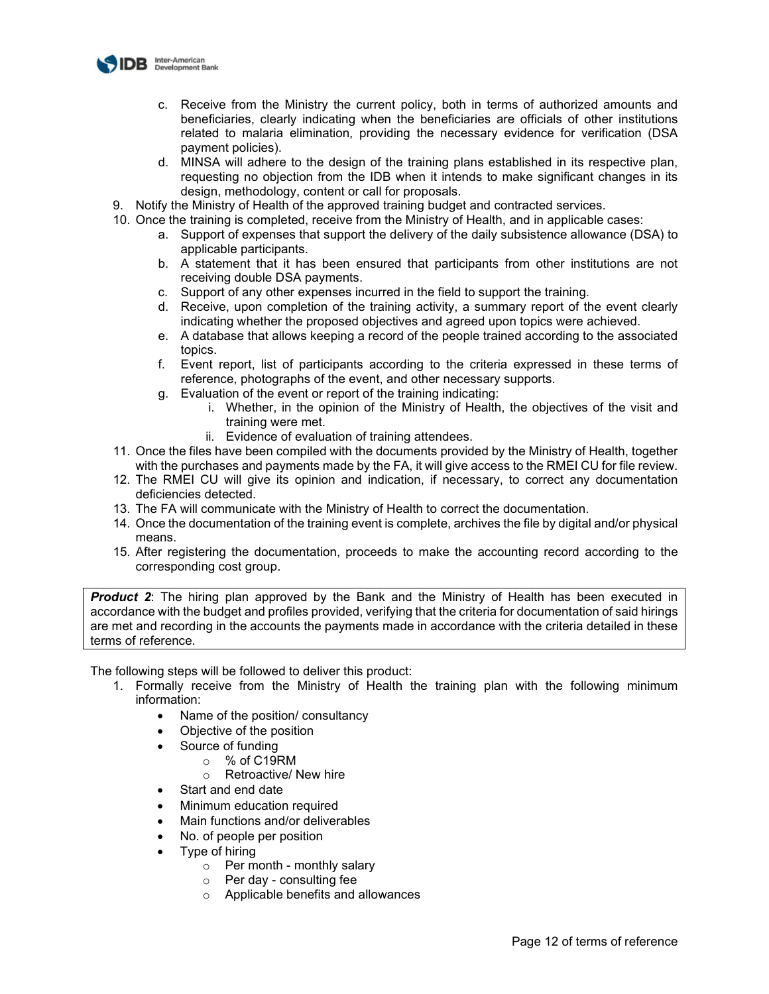

- c. Receive from the Ministry the current policy, both in terms of authorized amounts and beneficiaries, clearly indicating when the beneficiaries are officials of other institutions related to malaria elimination, providing the necessary evidence for verification (DSA payment policies).
- d. MINSA will adhere to the design of the training plans established in its respective plan, requesting no objection from the IDB when it intends to make significant changes in its design, methodology, content or call for proposals.
- 9. Notify the Ministry of Health of the approved training budget and contracted services.
- 10. Once the training is completed, receive from the Ministry of Health, and in applicable cases:
	- a. Support of expenses that support the delivery of the daily subsistence allowance (DSA) to applicable participants.
	- b. A statement that it has been ensured that participants from other institutions are not receiving double DSA payments.
	- c. Support of any other expenses incurred in the field to support the training.
	- d. Receive, upon completion of the training activity, a summary report of the event clearly indicating whether the proposed objectives and agreed upon topics were achieved.
	- e. A database that allows keeping a record of the people trained according to the associated topics.
	- f. Event report, list of participants according to the criteria expressed in these terms of reference, photographs of the event, and other necessary supports.
	- g. Evaluation of the event or report of the training indicating:
		- i. Whether, in the opinion of the Ministry of Health, the objectives of the visit and training were met.
			- ii. Evidence of evaluation of training attendees.
- 11. Once the files have been compiled with the documents provided by the Ministry of Health, together with the purchases and payments made by the FA, it will give access to the RMEI CU for file review.
- 12. The RMEI CU will give its opinion and indication, if necessary, to correct any documentation deficiencies detected.
- 13. The FA will communicate with the Ministry of Health to correct the documentation.
- 14. Once the documentation of the training event is complete, archives the file by digital and/or physical means.
- 15. After registering the documentation, proceeds to make the accounting record according to the corresponding cost group.

**Product 2**: The hiring plan approved by the Bank and the Ministry of Health has been executed in accordance with the budget and profiles provided, verifying that the criteria for documentation of said hirings are met and recording in the accounts the payments made in accordance with the criteria detailed in these terms of reference.

- 1. Formally receive from the Ministry of Health the training plan with the following minimum information:
	- Name of the position/ consultancy
	- Objective of the position
	- Source of funding
		- o % of C19RM
		- o Retroactive/ New hire
	- Start and end date
	- Minimum education required
	- Main functions and/or deliverables
	- No. of people per position
	- Type of hiring
		- $\circ$  Per month monthly salary
		- $\circ$  Per day consulting fee<br> $\circ$  Applicable benefits and a
		- Applicable benefits and allowances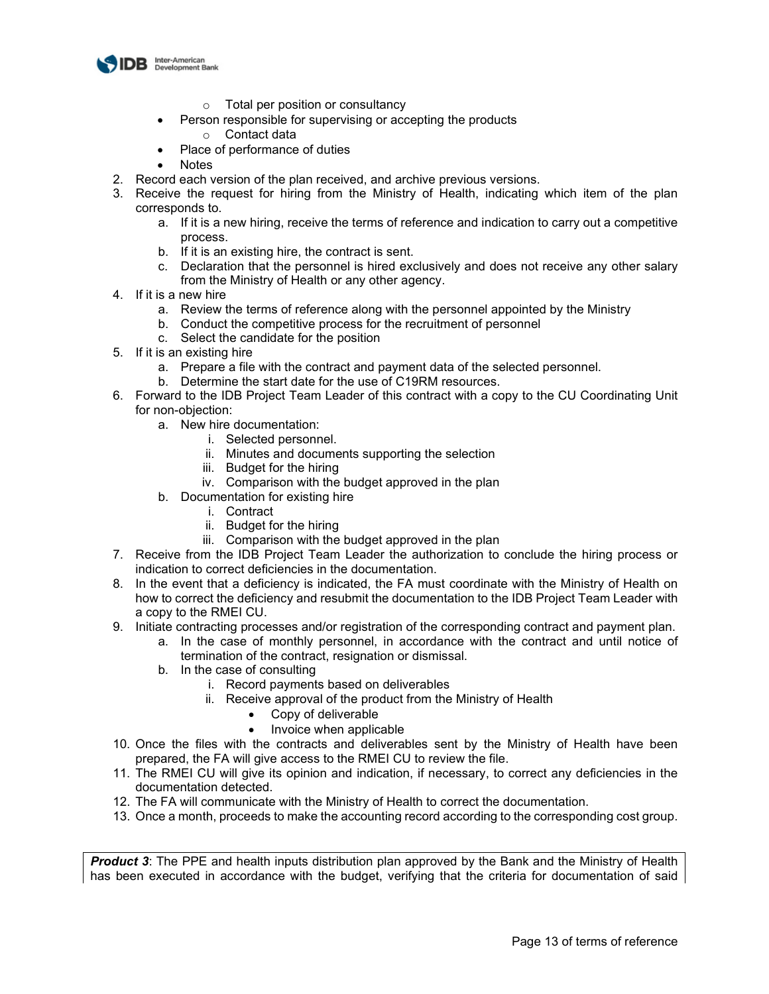

- o Total per position or consultancy
- Person responsible for supervising or accepting the products
	- o Contact data
- Place of performance of duties
- **Notes**
- 2. Record each version of the plan received, and archive previous versions.
- 3. Receive the request for hiring from the Ministry of Health, indicating which item of the plan corresponds to.
	- a. If it is a new hiring, receive the terms of reference and indication to carry out a competitive process.
	- b. If it is an existing hire, the contract is sent.
	- c. Declaration that the personnel is hired exclusively and does not receive any other salary from the Ministry of Health or any other agency.
- 4. If it is a new hire
	- a. Review the terms of reference along with the personnel appointed by the Ministry
	- b. Conduct the competitive process for the recruitment of personnel
	- c. Select the candidate for the position
- 5. If it is an existing hire
	- a. Prepare a file with the contract and payment data of the selected personnel.
	- b. Determine the start date for the use of C19RM resources.
- 6. Forward to the IDB Project Team Leader of this contract with a copy to the CU Coordinating Unit for non-objection:
	- a. New hire documentation:
		- i. Selected personnel.
		- ii. Minutes and documents supporting the selection
		- iii. Budget for the hiring
		- iv. Comparison with the budget approved in the plan
	- b. Documentation for existing hire
		- i. Contract
			- ii. Budget for the hiring
			- iii. Comparison with the budget approved in the plan
- 7. Receive from the IDB Project Team Leader the authorization to conclude the hiring process or indication to correct deficiencies in the documentation.
- 8. In the event that a deficiency is indicated, the FA must coordinate with the Ministry of Health on how to correct the deficiency and resubmit the documentation to the IDB Project Team Leader with a copy to the RMEI CU.
- 9. Initiate contracting processes and/or registration of the corresponding contract and payment plan.
	- a. In the case of monthly personnel, in accordance with the contract and until notice of termination of the contract, resignation or dismissal.
	- b. In the case of consulting
		- i. Record payments based on deliverables
		- ii. Receive approval of the product from the Ministry of Health
			- Copy of deliverable
			- Invoice when applicable
- 10. Once the files with the contracts and deliverables sent by the Ministry of Health have been prepared, the FA will give access to the RMEI CU to review the file.
- 11. The RMEI CU will give its opinion and indication, if necessary, to correct any deficiencies in the documentation detected.
- 12. The FA will communicate with the Ministry of Health to correct the documentation.
- 13. Once a month, proceeds to make the accounting record according to the corresponding cost group.

**Product 3**: The PPE and health inputs distribution plan approved by the Bank and the Ministry of Health has been executed in accordance with the budget, verifying that the criteria for documentation of said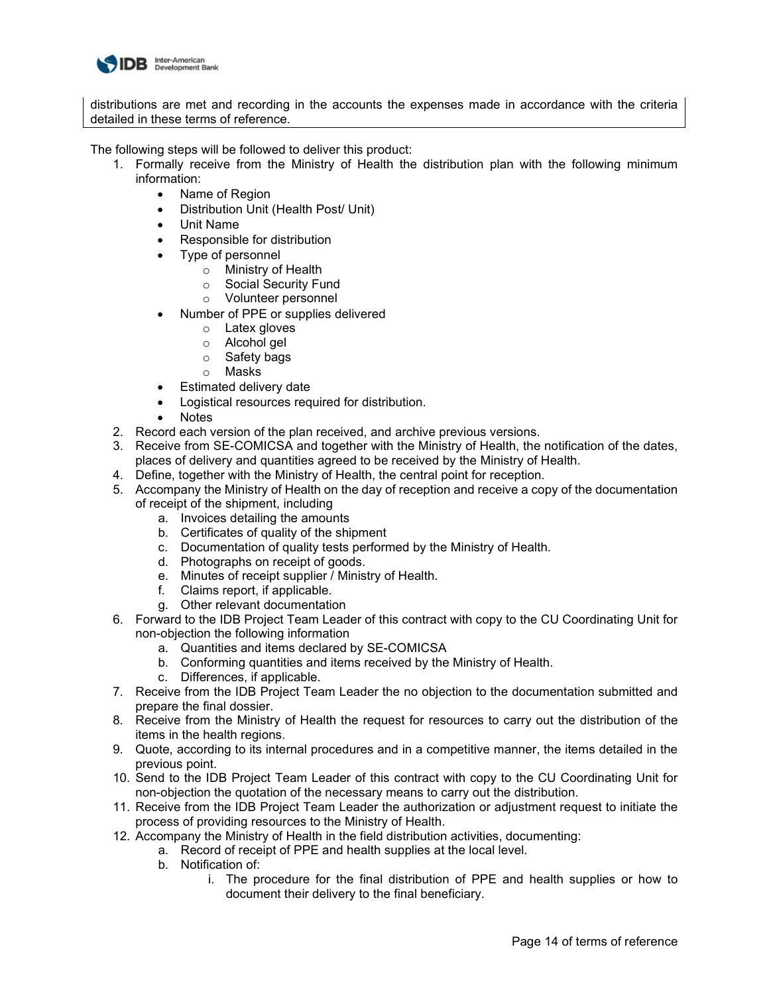

distributions are met and recording in the accounts the expenses made in accordance with the criteria detailed in these terms of reference.

- 1. Formally receive from the Ministry of Health the distribution plan with the following minimum information:
	- Name of Region
	- Distribution Unit (Health Post/ Unit)
	- Unit Name
	- Responsible for distribution
	- Type of personnel
		- o Ministry of Health<br>○ Social Security Fu
		- ⊙ Social Security Fund<br>○ Volunteer personnel
		- Volunteer personnel
	- Number of PPE or supplies delivered
		- o Latex gloves
		- o Alcohol gel
		- o Safety bags<br>○ Masks
		- Masks
	- Estimated delivery date
	- Logistical resources required for distribution.
	- Notes
- 2. Record each version of the plan received, and archive previous versions.
- 3. Receive from SE-COMICSA and together with the Ministry of Health, the notification of the dates, places of delivery and quantities agreed to be received by the Ministry of Health.
- 4. Define, together with the Ministry of Health, the central point for reception.
- 5. Accompany the Ministry of Health on the day of reception and receive a copy of the documentation of receipt of the shipment, including
	- a. Invoices detailing the amounts
	- b. Certificates of quality of the shipment
	- c. Documentation of quality tests performed by the Ministry of Health.
	- d. Photographs on receipt of goods.
	- e. Minutes of receipt supplier / Ministry of Health.
	- f. Claims report, if applicable.
	- g. Other relevant documentation
- 6. Forward to the IDB Project Team Leader of this contract with copy to the CU Coordinating Unit for non-objection the following information
	- a. Quantities and items declared by SE-COMICSA
	- b. Conforming quantities and items received by the Ministry of Health.
	- c. Differences, if applicable.
- 7. Receive from the IDB Project Team Leader the no objection to the documentation submitted and prepare the final dossier.
- 8. Receive from the Ministry of Health the request for resources to carry out the distribution of the items in the health regions.
- 9. Quote, according to its internal procedures and in a competitive manner, the items detailed in the previous point.
- 10. Send to the IDB Project Team Leader of this contract with copy to the CU Coordinating Unit for non-objection the quotation of the necessary means to carry out the distribution.
- 11. Receive from the IDB Project Team Leader the authorization or adjustment request to initiate the process of providing resources to the Ministry of Health.
- 12. Accompany the Ministry of Health in the field distribution activities, documenting:
	- a. Record of receipt of PPE and health supplies at the local level.
	- b. Notification of:
		- i. The procedure for the final distribution of PPE and health supplies or how to document their delivery to the final beneficiary.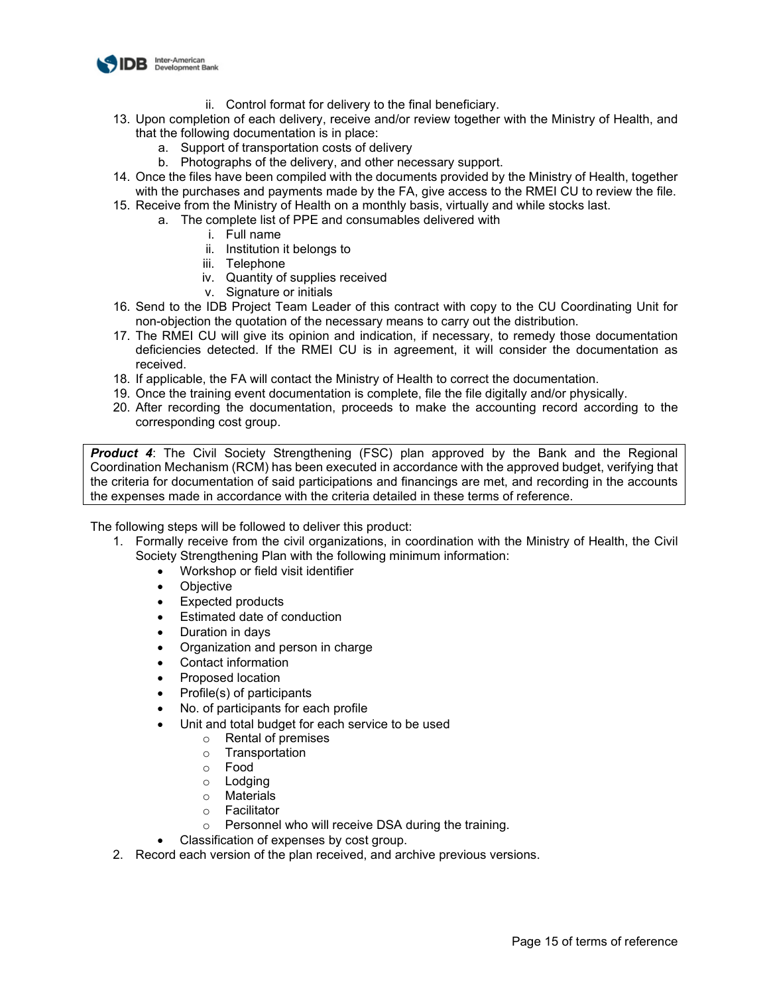

- ii. Control format for delivery to the final beneficiary.
- 13. Upon completion of each delivery, receive and/or review together with the Ministry of Health, and that the following documentation is in place:
	- a. Support of transportation costs of delivery
	- b. Photographs of the delivery, and other necessary support.
- 14. Once the files have been compiled with the documents provided by the Ministry of Health, together with the purchases and payments made by the FA, give access to the RMEI CU to review the file.
- 15. Receive from the Ministry of Health on a monthly basis, virtually and while stocks last.
	- a. The complete list of PPE and consumables delivered with
		- i. Full name
		- ii. Institution it belongs to
		- iii. Telephone
		- iv. Quantity of supplies received
		- v. Signature or initials
- 16. Send to the IDB Project Team Leader of this contract with copy to the CU Coordinating Unit for non-objection the quotation of the necessary means to carry out the distribution.
- 17. The RMEI CU will give its opinion and indication, if necessary, to remedy those documentation deficiencies detected. If the RMEI CU is in agreement, it will consider the documentation as received.
- 18. If applicable, the FA will contact the Ministry of Health to correct the documentation.
- 19. Once the training event documentation is complete, file the file digitally and/or physically.
- 20. After recording the documentation, proceeds to make the accounting record according to the corresponding cost group.

**Product 4:** The Civil Society Strengthening (FSC) plan approved by the Bank and the Regional Coordination Mechanism (RCM) has been executed in accordance with the approved budget, verifying that the criteria for documentation of said participations and financings are met, and recording in the accounts the expenses made in accordance with the criteria detailed in these terms of reference.

- 1. Formally receive from the civil organizations, in coordination with the Ministry of Health, the Civil Society Strengthening Plan with the following minimum information:
	- Workshop or field visit identifier
	- Objective
	- Expected products
	- Estimated date of conduction
	- Duration in days
	- Organization and person in charge
	- Contact information
	- Proposed location
	- Profile(s) of participants
	- No. of participants for each profile
	- Unit and total budget for each service to be used
		- o Rental of premises
			- o Transportation
			- o Food
			- o Lodging
			- o Materials
			- o Facilitator
			- o Personnel who will receive DSA during the training.
	- Classification of expenses by cost group.
- 2. Record each version of the plan received, and archive previous versions.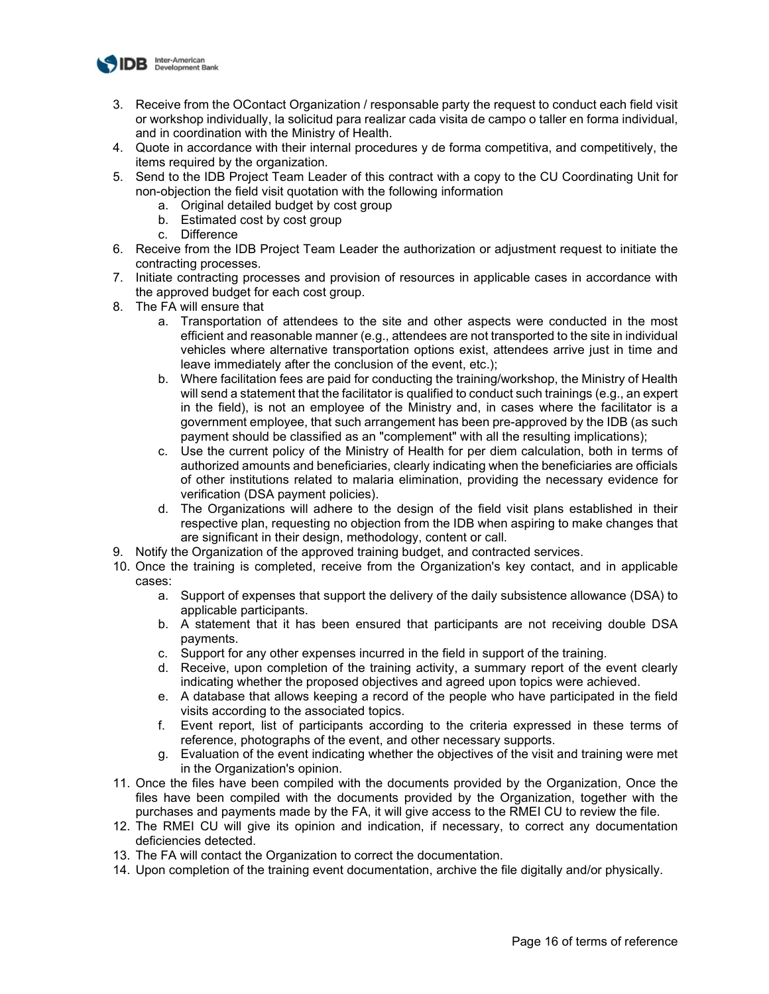

- 3. Receive from the OContact Organization / responsable party the request to conduct each field visit or workshop individually, la solicitud para realizar cada visita de campo o taller en forma individual, and in coordination with the Ministry of Health.
- 4. Quote in accordance with their internal procedures y de forma competitiva, and competitively, the items required by the organization.
- 5. Send to the IDB Project Team Leader of this contract with a copy to the CU Coordinating Unit for non-objection the field visit quotation with the following information
	- a. Original detailed budget by cost group
	- b. Estimated cost by cost group
	- c. Difference
- 6. Receive from the IDB Project Team Leader the authorization or adjustment request to initiate the contracting processes.
- 7. Initiate contracting processes and provision of resources in applicable cases in accordance with the approved budget for each cost group.
- 8. The FA will ensure that
	- a. Transportation of attendees to the site and other aspects were conducted in the most efficient and reasonable manner (e.g., attendees are not transported to the site in individual vehicles where alternative transportation options exist, attendees arrive just in time and leave immediately after the conclusion of the event, etc.);
	- b. Where facilitation fees are paid for conducting the training/workshop, the Ministry of Health will send a statement that the facilitator is qualified to conduct such trainings (e.g., an expert in the field), is not an employee of the Ministry and, in cases where the facilitator is a government employee, that such arrangement has been pre-approved by the IDB (as such payment should be classified as an "complement" with all the resulting implications);
	- c. Use the current policy of the Ministry of Health for per diem calculation, both in terms of authorized amounts and beneficiaries, clearly indicating when the beneficiaries are officials of other institutions related to malaria elimination, providing the necessary evidence for verification (DSA payment policies).
	- d. The Organizations will adhere to the design of the field visit plans established in their respective plan, requesting no objection from the IDB when aspiring to make changes that are significant in their design, methodology, content or call.
- 9. Notify the Organization of the approved training budget, and contracted services.
- 10. Once the training is completed, receive from the Organization's key contact, and in applicable cases:
	- a. Support of expenses that support the delivery of the daily subsistence allowance (DSA) to applicable participants.
	- b. A statement that it has been ensured that participants are not receiving double DSA payments.
	- c. Support for any other expenses incurred in the field in support of the training.
	- d. Receive, upon completion of the training activity, a summary report of the event clearly indicating whether the proposed objectives and agreed upon topics were achieved.
	- e. A database that allows keeping a record of the people who have participated in the field visits according to the associated topics.
	- f. Event report, list of participants according to the criteria expressed in these terms of reference, photographs of the event, and other necessary supports.
	- g. Evaluation of the event indicating whether the objectives of the visit and training were met in the Organization's opinion.
- 11. Once the files have been compiled with the documents provided by the Organization, Once the files have been compiled with the documents provided by the Organization, together with the purchases and payments made by the FA, it will give access to the RMEI CU to review the file.
- 12. The RMEI CU will give its opinion and indication, if necessary, to correct any documentation deficiencies detected.
- 13. The FA will contact the Organization to correct the documentation.
- 14. Upon completion of the training event documentation, archive the file digitally and/or physically.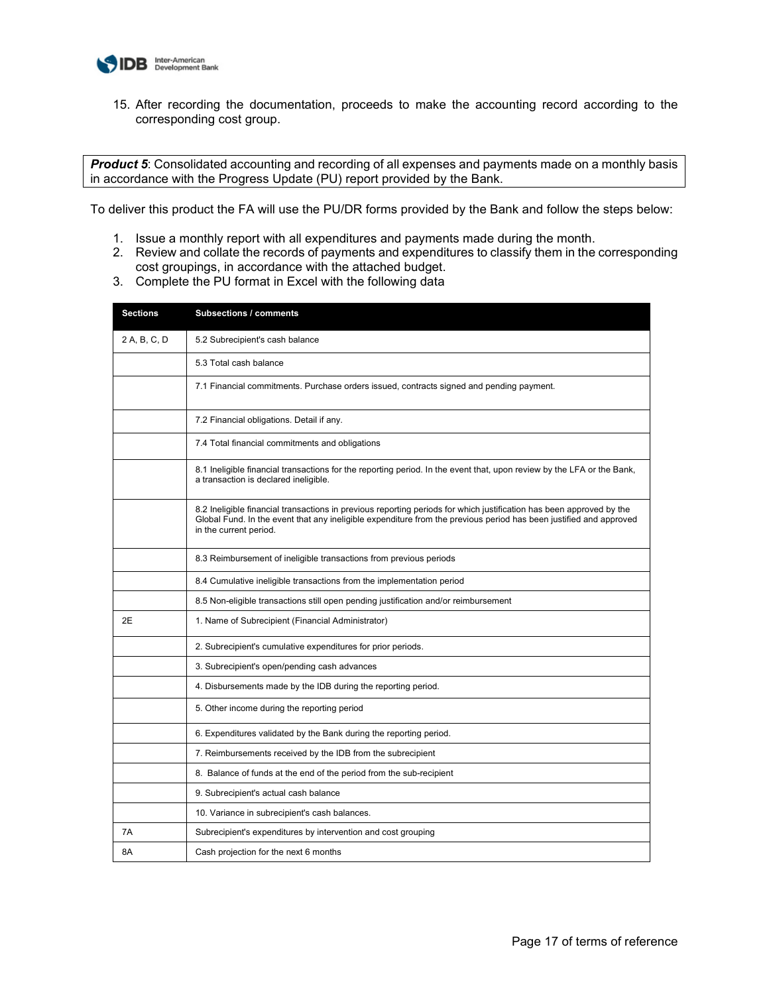

15. After recording the documentation, proceeds to make the accounting record according to the corresponding cost group.

**Product 5**: Consolidated accounting and recording of all expenses and payments made on a monthly basis in accordance with the Progress Update (PU) report provided by the Bank.

To deliver this product the FA will use the PU/DR forms provided by the Bank and follow the steps below:

- 1. Issue a monthly report with all expenditures and payments made during the month.
- 2. Review and collate the records of payments and expenditures to classify them in the corresponding cost groupings, in accordance with the attached budget.
- 3. Complete the PU format in Excel with the following data

| <b>Sections</b> | <b>Subsections / comments</b>                                                                                                                                                                                                                                        |
|-----------------|----------------------------------------------------------------------------------------------------------------------------------------------------------------------------------------------------------------------------------------------------------------------|
| 2 A, B, C, D    | 5.2 Subrecipient's cash balance                                                                                                                                                                                                                                      |
|                 | 5.3 Total cash balance                                                                                                                                                                                                                                               |
|                 | 7.1 Financial commitments. Purchase orders issued, contracts signed and pending payment.                                                                                                                                                                             |
|                 | 7.2 Financial obligations. Detail if any.                                                                                                                                                                                                                            |
|                 | 7.4 Total financial commitments and obligations                                                                                                                                                                                                                      |
|                 | 8.1 Ineligible financial transactions for the reporting period. In the event that, upon review by the LFA or the Bank,<br>a transaction is declared ineligible.                                                                                                      |
|                 | 8.2 Ineligible financial transactions in previous reporting periods for which justification has been approved by the<br>Global Fund. In the event that any ineligible expenditure from the previous period has been justified and approved<br>in the current period. |
|                 | 8.3 Reimbursement of ineligible transactions from previous periods                                                                                                                                                                                                   |
|                 | 8.4 Cumulative ineligible transactions from the implementation period                                                                                                                                                                                                |
|                 | 8.5 Non-eligible transactions still open pending justification and/or reimbursement                                                                                                                                                                                  |
| 2E              | 1. Name of Subrecipient (Financial Administrator)                                                                                                                                                                                                                    |
|                 | 2. Subrecipient's cumulative expenditures for prior periods.                                                                                                                                                                                                         |
|                 | 3. Subrecipient's open/pending cash advances                                                                                                                                                                                                                         |
|                 | 4. Disbursements made by the IDB during the reporting period.                                                                                                                                                                                                        |
|                 | 5. Other income during the reporting period                                                                                                                                                                                                                          |
|                 | 6. Expenditures validated by the Bank during the reporting period.                                                                                                                                                                                                   |
|                 | 7. Reimbursements received by the IDB from the subrecipient                                                                                                                                                                                                          |
|                 | 8. Balance of funds at the end of the period from the sub-recipient                                                                                                                                                                                                  |
|                 | 9. Subrecipient's actual cash balance                                                                                                                                                                                                                                |
|                 | 10. Variance in subrecipient's cash balances.                                                                                                                                                                                                                        |
| 7Α              | Subrecipient's expenditures by intervention and cost grouping                                                                                                                                                                                                        |
| 8Α              | Cash projection for the next 6 months                                                                                                                                                                                                                                |